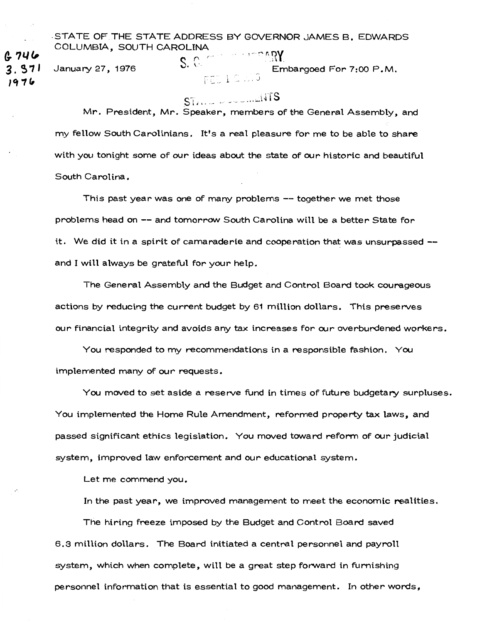-STATE OF THE STATE ADDRESS BY GOVERNOR JAMES B. EDWARDS COLUMBIA, SOUTH CAROLINA

January *27,* 1976

*a.* ?I./(,

**3. 57** I **lf11(,** 

 ${\mathbb S}.$  GeV  $^+$  $\gamma_{R\Lambda}$ ank Embargoed For 7:00 P.M.  $FEL1C. J3$ 

# $ST_{1},...$   $\ldots$  ...  $\Box T$ S

Mr. President, Mr. Speaker, members of the General Assembly, and my fellow South Carolinians. It's a real pleasure for me to be able to share with you tonight some of our ideas about the state of our historic and beautiful South Carolina.

This past year was one of many problems --together we met those problems head on -- and tomorrow South Carolina will be a better State for it. We did it in a spirit of camaraderie and cooperation that was unsurpassed - and I will always be grateful for your help.

The General Assembly and the Budget and Control Board took courageous actions by reducing the current budget by 61 million dollars. This preserves our financial integrity and avoids any tax increases for our overburdened workers.

You responded to my recommendations in a responsible fashion. You implemented many of our requests.

You moved to set aside a reserve fund in times of future budgetary surpluses. You implemented the Home Rule Amendment, reformed property tax laws, and passed significant ethics legislation. You moved toward reform of our judicial system, improved law enforcement and our educational system.

Let me commend you.

In the past year, we improved management to meet the economic realities.

The hiring freeze imposed by the Budget and Control Board saved 6.3 million dollars. The Board initiated a central personnel and payroll system, which when complete, will be a great step forward in furnishing personnel information that is essential to good management. In other words,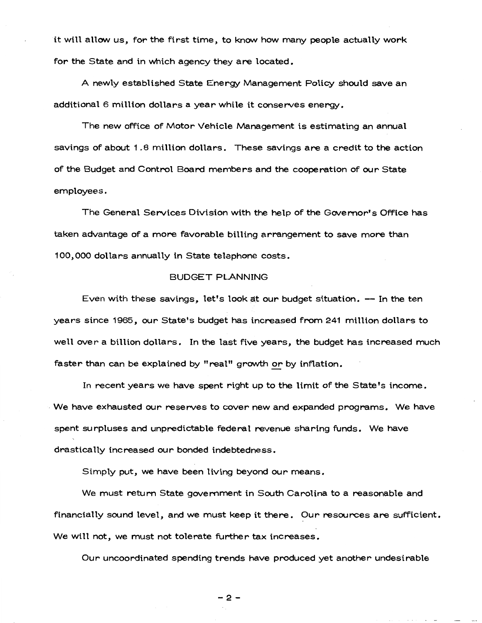it will allow us, for the first time, to know how many people actually work for the State and in which agency they are located.

A newly established State Energy Management Policy should save an additional 6 million dollars a year while it conserves energy.

The new office of Motor Vehicle Management is estimating an annual savings of about 1.8 million dollars. These savings are a credit to the action of the Budget and Control Board members and the cooperation of our State employees.

The General Services Division with the help of the Govemor's Office has taken advantage of a more favorable billing arrangement to save more than 100,000 dollars annually in State telephone costs.

## BUDGET PLANNING

Even with these savings, let's look at our budget situation. -- In the ten years since 1965, our State's budget has increased from 241 million dollars to well over a billion dollars. In the last five years, the budget has increased much faster than can be explained by "real" growth or by inflation.

In recent years we have spent right up to the limit of the State's income. We have exhausted our reserves to cover new and expanded programs. We have spent surpluses and unpredictable federal revenue sharing funds. We have drastically increased our bonded indebtedness.

Simply put, we have been living beyond our means.

We must return State govemment in South Carolina to a reasonable and financially sound level, and we must keep it there. Our resources are sufficient. We will not, we must not tolerate further tax increases.

Our uncoordinated spending trends have produced yet another undesirable

-2-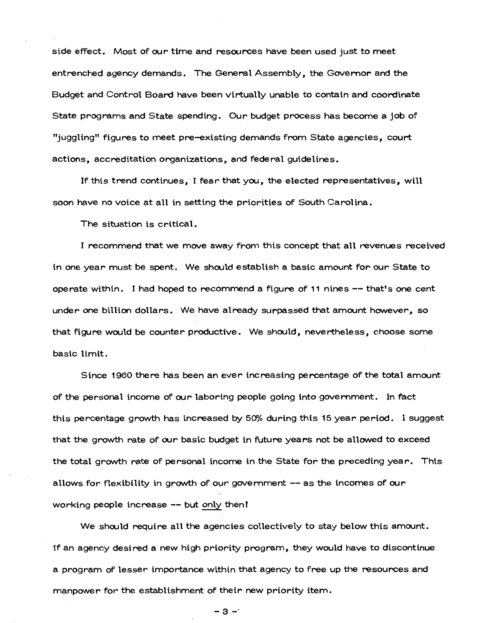side effect. Most of our time and resources have been used just to meet entrenched agency demands. The General Assembly, the Govemor and the Budget and Control Board have been virtually unable to contain and coordinate State programs and State spending. Our budget process has become a job of "juggling" figures to meet pre-existing demands from State agencies, court actions, accreditation organizations, and federal guidelines.

If this trend continues, I fear that you, the elected representatives, will soon have no voice at all in setting the priorities of South Carolina.

The situation is critical.

I recommend that we move away from this concept that all revenues received in one year must be spent. We should establish a basic amount for our State to operate within. I had hoped to recommend a figure of 11 nines-- that's one cent under one billion dollars. We have already surpassed that amount however, so that figure would be counter productive. We should, nevertheless, choose some basic limit.

Since 1960 there has been an ever increasing percentage of the total amount of the personal income of our laboring people going into govemment. In fact this percentage growth has increased by  $50\%$  during this 15 year period. I suggest that the growth rate of our basic budget in future years not be allowed to exceed the total growth rate of personal income in the State for the preceding year. This allows for flexibility in growth of our government  $--$  as the incomes of our working people increase -- but only then!

We should require all the agencies collectively to stay below this amount. If an agency desired a new high priority program, they would have to discontinue a program of lesser importance within that agency to free up the resources and manpower for the establishment of their new priority item.

-3--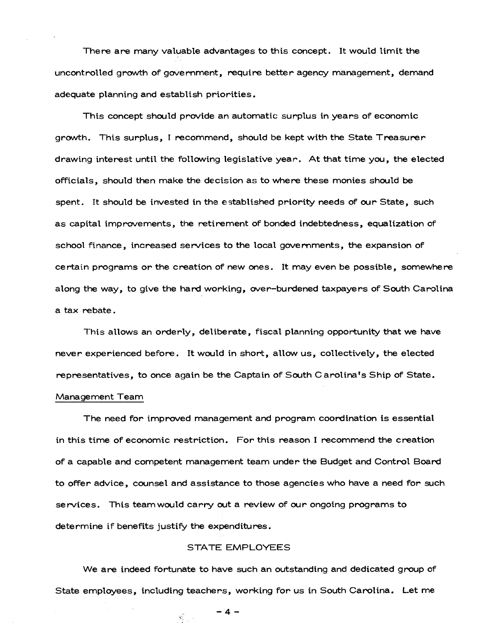There are many valuable advantages to this concept. It would limit the uncontrolled growth of government, require better agency management, demand adequate planning and establish priorities.

This concept should provide an automatic surplus in years of economic growth. This surplus, I recommend, should be kept with the State Treasurer drawing interest until the following legislative year. At that time you, the elected officials, should then make the decision as to where these monies should be spent. It should be invested in the established priority needs of our State, such as capital improvements, the retirement of bonded indebtedness, equalization of school finance, increased services to the local govemments, the expansion of certain programs or the creation of new ones. It may even be possible, somewhere along the way, to give the hard working, over-burdened taxpayers of South Carolina a tax rebate .

This allows an orderly, deliberate, fiscal planning opportunity that we have never experienced before. It would in short, allow us, collectively, the elected representatives, to once again be the Captain of South Carolina's Ship of State.

## Management Team

The need for improved management and program coordination is essential in this time of economic restriction. For this reason I recommend the creation of a capable and competent management team under the Budget and Control Board to offer advice, counsel and assistance to those agencies who have a need for such services. This teamwould carry out a review of our ongoing programs to determine if benefits justify the expenditures.

# STATE EMPLOYEES

We are indeed fortunate to have such an outstanding and dedicated group of State employees, including teachers, working for us in South Carolina. Let me

 $-4-$ 

 $\mathcal{L}$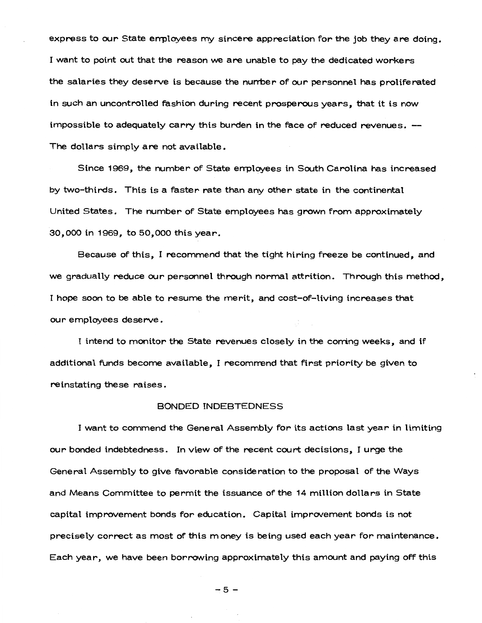express to our State errployees my sincere appreciation for the job they are doing. I want to point out that the reason we are unable to pay the dedicated workers the salaries they deserve is because the nurrber of our personnel has proliferated in such an uncontrolled fashion during recent prosperous years, that it is now impossible to adequately carry this burden in the face of reduced revenues. The dollars simply are not available.

Since 1969, the number of State errployees in South Carolina has increased by two-thirds. This is a faster rate than any other state in the continental United States. The number of State employees has grown from approximately 30,000 in 1969, to 50,000 this year.

Because of this, I recommend that the tight hiring freeze be continued, and we gradually reduce our personnel through normal attrition. Through this method, I hope soon to be able to resume the merit, and cost-of-living increases that our employees deserve.

I intend to monitor the State revenues closely in the corring weeks, and if additional funds become available, I recommend that first priority be given to reinstating these raises.

## BONDED INDEBTEDNESS

I want to commend the General Assembly for its actions last year in limiting our bonded indebtedness. In view of the recent court decisions, I urge the General Assembly to give favorable consideration to the proposal of the Ways and Means Committee to permit the issuance of the 14 million dollars in State capital improvement bonds for education. Capital improvement bonds is not precisely correct as most of this money is being used each year for maintenance. Each year, we have been borrowing approximately this amount and paying off this

-5-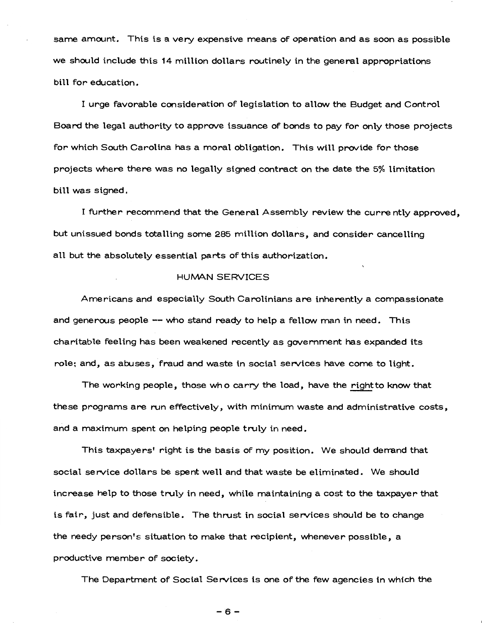same amount. This is a very expensive means of operation and as soon as possible we should include this 14 million dollars routinely in the general appropriations bill for education.

I urge favorable consideration of legislation to allow the Budget and Control Board the legal authority to approve issuance of bonds to pay for only those projects for which South Carolina has a moral obligation. This will provide for those projects where there was no legally signed contract on the date the 5% limitation bill was signed.

I further recommend that the General Assembly review the currently approved, but unissued bonds totalling some 285 million dollars, and consider cancelling all but the absolutely essential parts of this authorization.

## HUMAN SERVICES

Americans and especially South Carolinians are inherently a compassionate and generous people -- who stand ready to help a fellow man in need. This charitable feeling has been weakened recently as government has expanded its role; and, as abuses, fraud and waste in social services have come to light.

The working people, those who carry the load, have the right to know that these programs are run effectively, with minimum waste and administrative costs, and a maximum spent on helping people truly in need.

This taxpayers' right is the basis of my position. We should derrand that social service dollars be spent well and that waste be eliminated. We should increase help to those truly in need, while maintaining a cost to the taxpayer that is fair, just and defensible. The thrust in social services should be to change the needy person's situation to make that recipient, whenever possible, a productive member of society.

The Department of Social Services is one of the few agencies in which the

-6-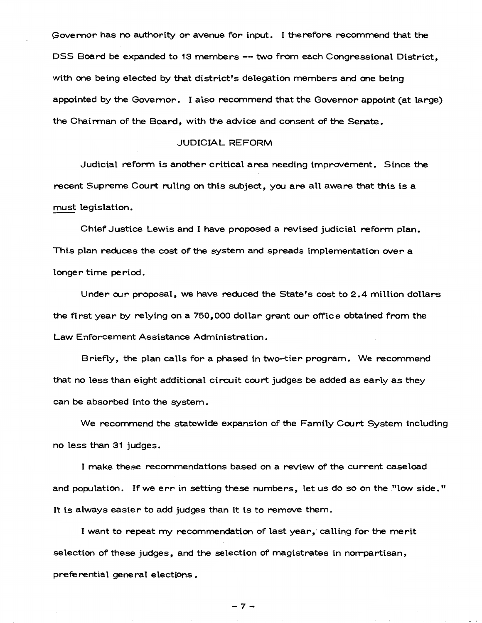Governor has no authority or avenue for input. I therefore recommend that the DSS Board be expanded to 13 members-- two from each Congressional District, with one being elected by that district's delegation members and one being appointed by the Govemor. I also recommend that the Governor appoint (at large) the Chairman of the Board, with the advice and consent of the Senate.

## JUDICIAL REFORM

Judicial reform is another critical area needing improvement. Since the recent Supreme Court ruling on this subject, you are all aware that this is a must legislation.

Chief Justice Lewis and I have proposed a revised judicial reform plan. This plan reduces the cost of the system and spreads implementation over a longer time period.

Under our proposal, we have reduced the State's cost to 2.4 million dollars the first year by relying on a 750,000 dollar grant our office obtained from the Law Enforcement Assistance Administration.

Briefly, the plan calls for a phased in two-tier program. We recommend that no less than eight additional circuit court judges be added as early as they can be absorbed into the system.

We recommend the statewide expansion of the Family Court System including no less than 31 judges.

I make these recommendations based on a review of the current caseload and population. If we err in setting these numbers, let us do so on the "low side." It is always easier to add judges than it is to remove them.

I want to repeat my recommendation of last year, calling for the merit selection of these judges, and the selection of magistrates in norrpartisan, preferential general elections.

 $-7-$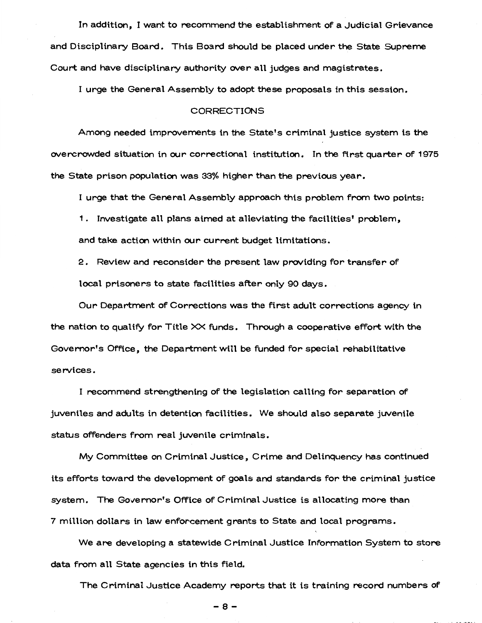In addition, I want to recommend the establishment of a Judicial Grievance and Disciplinary Board. This Board should be placed under the State Supreme Court and have disciplinary authority over all judges and magistrates.

I urge the General Assembly to adopt these proposals in this session.

#### CORRECTIONS

Among needed improvements in the State's criminal justice system is the overcrowded situation in our correctional institution. In the ftrst quarter of 1975 the State prison population was 33% higher than the previous year.

I urge that the General Assembly approach this problem from two points:

1. Investigate all plans aimed at alleviating the facilities' problem, and take action within our current budget limitations.

2. Review and reconsider the present law providing for transfer of local prisoners to state facilities after only 90 days.

Our Department of Corrections was the first adult corrections agency in the nation to qualify for Title XX funds. Through a cooperative effort with the Governor's Office, the Department will be funded for special rehabilitative services.

I recommend strengthening of the legislation calling for separation of juveniles and adults in detention facilities. We should also separate juvenile status offenders from real juvenile criminals.

My Committee on Criminal Justice, Crime and Delinquency has continued its efforts toward the development of goals and standards for the criminal justice system. The Governor's Office of Criminal Justice is allocating more than 7 million dollars in law enforcement grants to State and local programs.

We are developing a statewide Criminal Justice Information System to store data from all State agencies in this field.

The Criminal Justice Academy reports that it is training record numbers of

-a-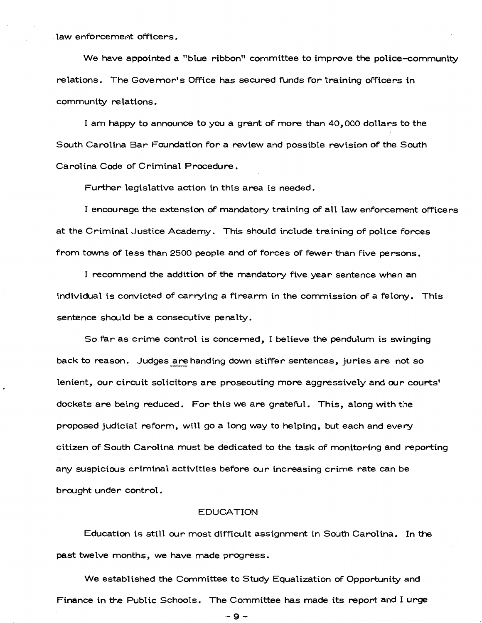law enforcement officers.

We have appointed a "blue ribbon" committee to improve the police-community relations. The Govemor's Office has secured funds for training officers in community relations.

I am happy to announce to you a grant of more than 40,000 dollars to the South Carolina Bar Foundation for a review and possible revision of the South Carolina Code of Criminal Procedure.

Further legislative action in this area is needed.

I encourage the extension of mandatory training of all law enforcement officers at the Criminal Justice Academy. This should include training of police forces from towns of less than 2500 people and of forces of fewer than five persons.

I recommend the addition of the mandatory five year sentence when an individual is convicted of carrying a firearm in the commission of a felony. This sentence should be a consecutive penalty.

So far as crime control is concemed, I believe the pendulum is swinging back to reason. Judges are handing down stiffer sentences, juries are not so lenient, our circuit solicitors are prosecuting more aggressively and our courts' dockets are being reduced. For this we are grateful. This, along with the proposed judicial reform, will go a long way to helping, but each and every citizen of South Carolina must be dedicated to the task of monitoring and reporting any suspicious criminal activities before our increasing crime rate can be brought under control.

## EDUCATION

Education is still our most difficult assignment in South Carolina. In the  $\,$ past twelve months, we have made progress.

We established the Committee to Study Equalization of Opportunity and Finance in the Public Schools. The Committee has made its report and I urge

-9-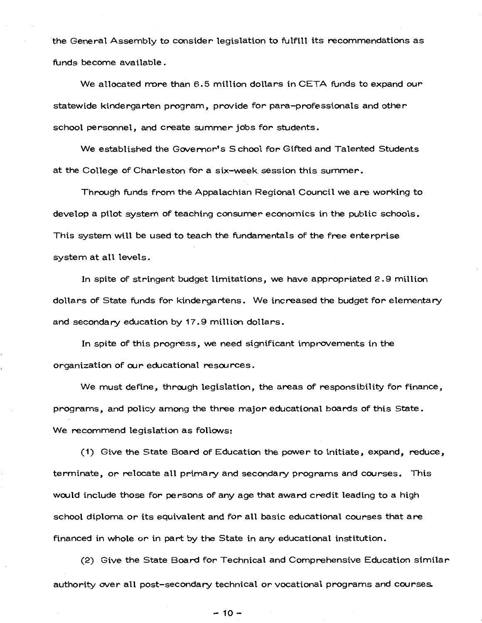the General Assembly to consider legislation to fulfill its recommendations as funds become available.

We allocated more than 6.5 million dollars in CETA funds to expand our statewide kindergarten program, provide for para-professionals and other school personnel, and create summer jobs for students.

We established the Governor's School for Gifted and Talented Students at the College of Charleston for a six-week session this summer.

Through funds from the Appalachian Regional Council we are working to develop a pilot system of teaching consumer economics in the public schools. This system will be used to teach the fundamentals of the free enterprise system at all levels.

In spite of stringent budget limitations, we have appropriated 2. 9 million dollars of State funds for kindergartens. We increased the budget for elementary and secondary education by 17.9 million dollars.

In spite of this progress, we need significant improvements in the organization of our educational resources.

We must define, through legislation, the areas of responsibility for finance, programs, and policy among the three major educational boards of this State. We recommend legislation as follows:

(1) Give the State Board of Education the power to initiate, expand, reduce, terminate, or relocate all primary and secondary programs and courses. This would include those for persons of any age that award credit leading to a high school diploma or its equivalent and for all basic educational courses that are financed in whole or in part by the State in any educational institution.

(2) Give the State Board for Technical and Comprehensive Education similar authority over all post-secondary technical or vocational programs and courses.

 $-10-$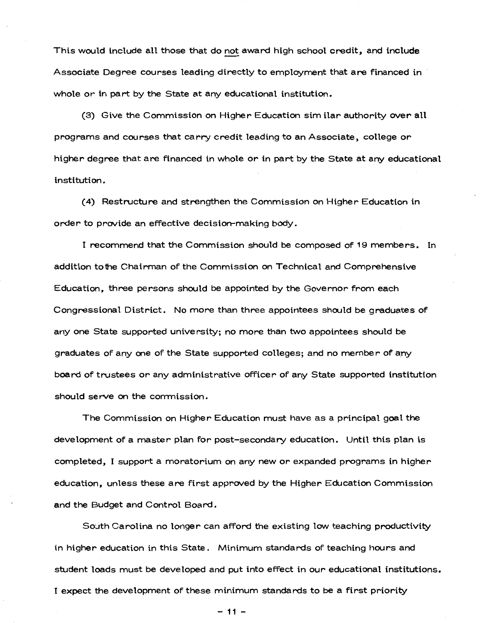This would include all those that do not award high school credit, and include Associate Degree courses leading directly to employment that are financed in whole or in part by the State at any educational institution.

(3) Give the Commission on Higher Education similar authority over all programs and courses that carry credit leading to an Associate, college or higher degree that are financed in whole or in part by the State at any educational institution.

(4) Restructure and strengthen the Commission on Higher Education in order to provide an effective decision-making body.

I recommend that the Commission should be composed of 19 members. In addition tothe Chairman of the Commission on Technical and Comprehensive Education, three persons should be appointed by the Governor from each Congressional District. No more than three appointees should be graduates of any one State supported university; no more than two appointees should be graduates of any one of the State supported colleges; and no member of any board of trustees or any administrative officer of any State supported institution should serve on the corrmission.

The Commission on Higher Education must have as a principal goal the development of a master plan for post-secondary education. Until this plan is completed, I support a moratorium on any new or expanded programs in higher education, unless these are first approved by the Higher Education Commission and the Budget and Control Board.

South Carolina no longer can afford the existing low teaching productivity in higher education in this State. Minimum standards of teaching hours and student loads must be developed and put into effect in our educational institutions. I expect the development of these minimum standards to be a first priority

- 11 -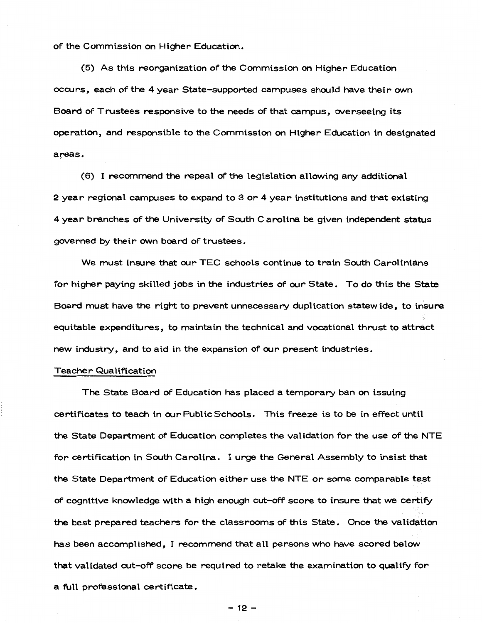of the Commission on Higher Education.

(5) As this reorganization of the Commission on Higher Education occurs, each of the 4 year State-supported campuses should have their own Board of Trustees responsive to the needs of that campus, overseeing its operation, and responsible to the Commission on Higher Education in designated areas.

(6) I recommend the repeal of the legislation allowing any additional 2 year regional campuses to expand to 3 or 4 year institutions and that existing 4 year branches of the University of South Carolina be given independent status governed by their own board of trustees.

We must insure that our TEC schools continue to train South Carolinians for higher paying skilled jobs in the industries of our State. To do this the State ,· Board must have the right to prevent unnecessary duplication statewide, to insure equitable expenditures, to maintain the technical and vocational thrust to attract new industry, and to aid in the expansion of our present industries.

## Teacher Qualification

The State Board of Education has placed a temporary ban on issuing certificates to teach in ourPublicSchools. This freeze is to be in effect until the State Department of Education completes the validation for the use of the NTE for certification in South Carolina. I urge the General Assembly to insist that the State Department of Education either use the NTE or some comparable test of cognitive knowledge with a high enough cut-off score to insure that we certify the best prepared teachers for the classrooms of this State. Once the validation has been accomplished, I recommend that all persons who have scored below that validated cut-off score be required to retake the examination to qualify for a full professional certificate.

- 12 -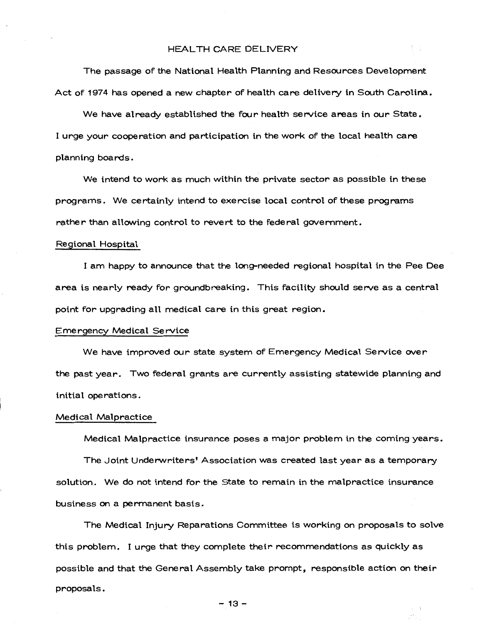## HEALTH CARE DELIVERY

The passage of the National Health Planning and Resources Development Act of 1974 has opened a new chapter of health care delivery in South Carolina.

We have already established the four health service areas in our State. I urge your cooperation and participation in the work of the local health care planning boards.

We intend to work as much within the private sector as possible in these programs. We certainly intend to exercise local control of these programs rather than allowing control to revert to the federal government.

#### Regional Hospital

I am happy to announce that the long-needed regional hospital in the Pee Dee area is nearly ready for groundbreaking. This facility should serve as a central point for upgrading all medical care in this great region.

#### Emergency Medical Service

We have improved our state system of Emergency Medical Service over the past year. Two federal grants are currently assisting statewide planning and initial operations.

## Medical Malpractice

Medical Malpractice insurance poses a major problem in the coming years.

The Joint Underwriters' Association was created last year as a temporary solution. We do not intend for the State to remain in the malpractice insurance business on a permanent basis.

The Medical Injury Reparations Committee is working on proposals to solve this problem. I urge that they complete their recommendations as quickly as possible and that the General Assembly take prompt, responsible action on their proposals.

- 13-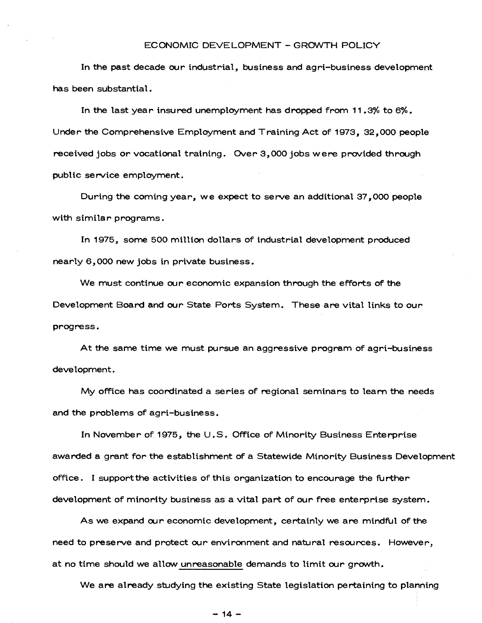## ECONOMIC DEVELOPMENT - GROWTH POLICY

In the past decade our industrial, business and agri-business development has been substantial.

In the last year insured unemployment has dropped from 11 .3% to 6%. Under the Comprehensive Employment and Training Act of 1973, 32,000 people received jobs or vocational training. Over 3,000 jobs were provided through public service employment.

During the coming year, we expect to serve an additional 37,000 people with similar programs.

In 1975, some 500 million dollars of industrial development produced nearly 6, 000 new jobs in private business.

We must continue our economic expansion through the efforts of the Development Board and our State Ports System. These are vital links to our progress.

At the same time we must pursue an aggressive program of agri-business development.

My office has coordinated a series of regional seminars to learn the needs and the problems of agri-business.

In November of 1975, the U.S. Office of Minority Business Enterprise awarded a grant for the establishment of a Statewide Minority Business Development office. I support the activities of this organization to encourage the further development of minority business as a vital part of our free enterprise system.

As we expand our economic development, certainly we are mindful of the need to preserve and protect our environment and natural resources. However, at no time should we allow unreasonable demands to limit our growth.

We are already studying the existing State legislation pertaining to planning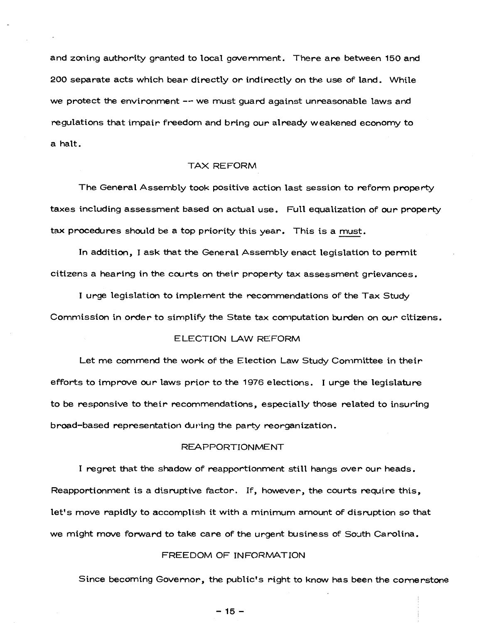and zoning authority granted to local government. There are between 150 and 200 separate acts which bear directly or indirectly on the use of land. While we protect the environment -- we must guard against unreasonable laws and regulations that impair freedom and bring our already weakened economy to a halt.

## TAX REFORM

The General Assembly took positive action last session to reform property taxes including assessment based on actual use. Full equalization of our property tax procedures should be a top priority this year. This is a must.

In addition, I ask that the General Assembly enact legislation to permit citizens a hearing in the courts on their property tax assessment grievances.

I urge legislation to implement the recommendations of the Tax Study Commission in order to simplify the State tax computation burden on our citizens.

## ELECTION LAW REFORM

Let me commend the work of the Election Law Study Committee in their efforts to improve our laws prior to the 1976 elections. I urge the legislature to be responsive to their recommendations, especially those related to insuring broad-based representation during the party reorganization.

## REAPPORTIONMENT

I regret that the shadow of reapportionment still hangs over our heads. Reapportionment is a disruptive factor. If, however, the courts require this, let's move rapidly to accomplish it with a minimum amount of disruption so that we might move forward to take care of the urgent business of South Carolina.

#### FREEDOM OF INFORMATION

Since becoming Governor, the public's right to know has been the cornerstone

- 15-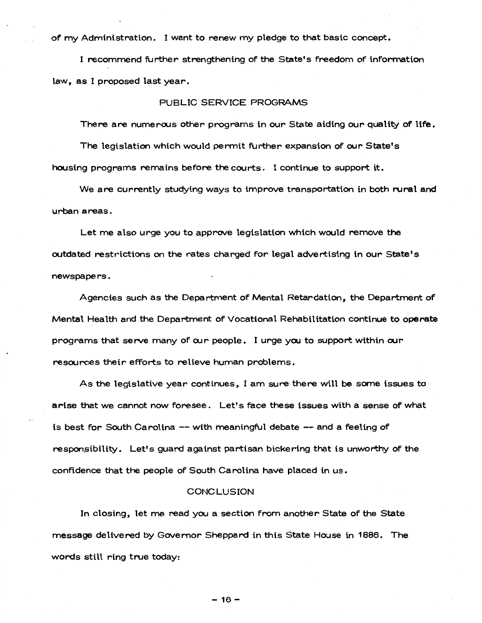of my Administration. I want to renew my pledge to that basic concept.

I recommend further strengthening of the State's freedom of information law, as I proposed last year.

# PUBLIC SERVICE PROGRAMS

There are numerous other programs in our State aiding our quality of life.

The legislation which would permit further expansion of our State's housing programs remains before the courts. I continue to support it.

We are currently studying ways to improve transportation in both rural and urban areas.

Let me also urge you to approve legislation which would remove the outdated restrictions on the rates charged for legal advertising in our State's · newspapers.

Agencies such as the Department of Mental Retardation, the Department of Mental Health and the Department of Vocational Rehabilitation continue to operate programs that serve many of our people. I urge you to support within our resources their efforts to relieve human problems.

As the legislative year continues, I am sure there will be some issues to arise that we cannot now foresee. Let's face these issues with a sense of what is best for South Carolina-- with meaningful debate-- and a feeling of responsibility. Let's guard against partisan bickering that is unworthy of the confidence that the people of South Carolina have placed in us.

## CONCLUSION

In closing, let me read you a section from another State of the State message delivered by Governor Sheppard in this State House in 1886. The words still ring true today:

 $-16-$